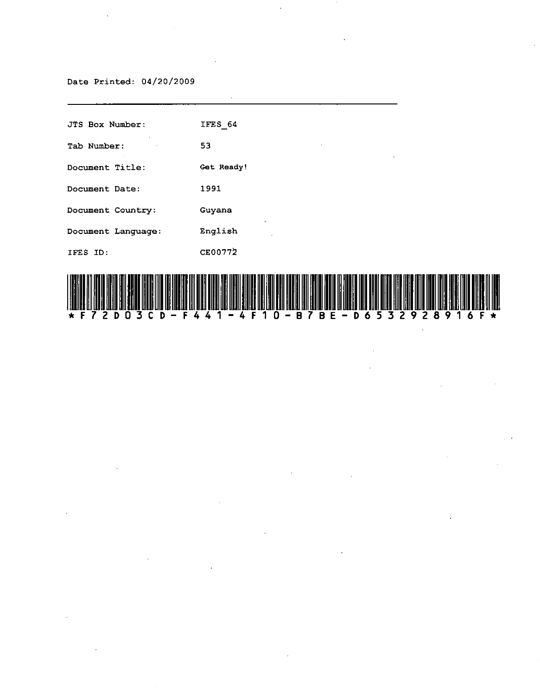## Date Printed: 04/20/2009

 $\hat{\mathcal{A}}$ 

| <b>JTS Box Number:</b> | IFES 64            |
|------------------------|--------------------|
| Tab Number:            | 53<br>$\sim$<br>٠  |
| Document Title:        | Get Ready!         |
| Document Date:         | 1991               |
| Document Country:      | Guyana<br>$\alpha$ |
| Document Language:     | English            |
| IFES ID:               | CE00772            |

 $\ddot{\phantom{0}}$ 



 $\mathcal{L}$ 

 $\ddot{\phantom{a}}$